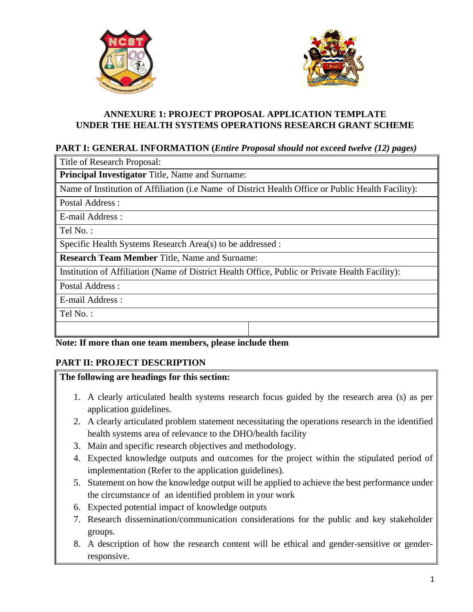



## **ANNEXURE 1: PROJECT PROPOSAL APPLICATION TEMPLATE UNDER THE HEALTH SYSTEMS OPERATIONS RESEARCH GRANT SCHEME**

## **PART I: GENERAL INFORMATION (***Entire Proposal should not exceed twelve (12) pages)*

Title of Research Proposal:

**Principal Investigator** Title, Name and Surname:

Name of Institution of Affiliation (i.e Name of District Health Office or Public Health Facility):

Postal Address :

E-mail Address :

Tel No. :

Specific Health Systems Research Area(s) to be addressed :

**Research Team Member** Title, Name and Surname:

Institution of Affiliation (Name of District Health Office, Public or Private Health Facility):

Postal Address :

E-mail Address :

Tel No. :

## **Note: If more than one team members, please include them**

## **PART II: PROJECT DESCRIPTION**

#### **The following are headings for this section:**

- 1. A clearly articulated health systems research focus guided by the research area (s) as per application guidelines.
- 2. A clearly articulated problem statement necessitating the operations research in the identified health systems area of relevance to the DHO/health facility
- 3. Main and specific research objectives and methodology.
- 4. Expected knowledge outputs and outcomes for the project within the stipulated period of implementation (Refer to the application guidelines).
- 5. Statement on how the knowledge output will be applied to achieve the best performance under the circumstance of an identified problem in your work
- 6. Expected potential impact of knowledge outputs
- 7. Research dissemination/communication considerations for the public and key stakeholder groups.
- 8. A description of how the research content will be ethical and gender-sensitive or genderresponsive.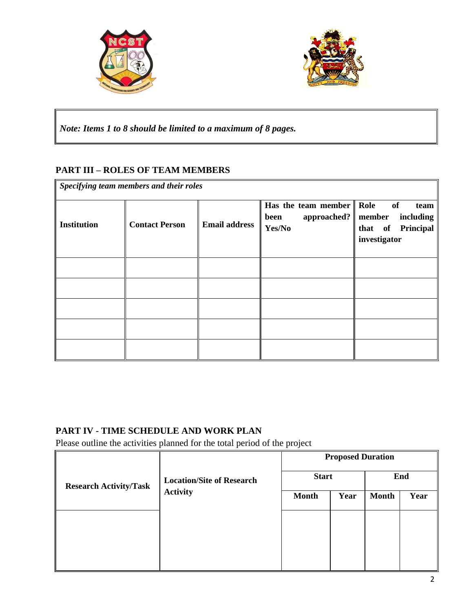



*Note: Items 1 to 8 should be limited to a maximum of 8 pages.*

# **PART III – ROLES OF TEAM MEMBERS**

| Specifying team members and their roles |                       |                      |                                                                                          |                                                                     |
|-----------------------------------------|-----------------------|----------------------|------------------------------------------------------------------------------------------|---------------------------------------------------------------------|
| <b>Institution</b>                      | <b>Contact Person</b> | <b>Email address</b> | Has the team member $\parallel$ Role<br>approached? $\parallel$ member<br>been<br>Yes/No | of<br>team<br><i>including</i><br>that of Principal<br>investigator |
|                                         |                       |                      |                                                                                          |                                                                     |
|                                         |                       |                      |                                                                                          |                                                                     |
|                                         |                       |                      |                                                                                          |                                                                     |
|                                         |                       |                      |                                                                                          |                                                                     |
|                                         |                       |                      |                                                                                          |                                                                     |

# **PART IV - TIME SCHEDULE AND WORK PLAN**

Please outline the activities planned for the total period of the project

|                               |                                                     | <b>Proposed Duration</b> |      |              |      |
|-------------------------------|-----------------------------------------------------|--------------------------|------|--------------|------|
| <b>Research Activity/Task</b> | <b>Location/Site of Research</b><br><b>Activity</b> | <b>Start</b>             |      | End          |      |
|                               |                                                     | <b>Month</b>             | Year | <b>Month</b> | Year |
|                               |                                                     |                          |      |              |      |
|                               |                                                     |                          |      |              |      |
|                               |                                                     |                          |      |              |      |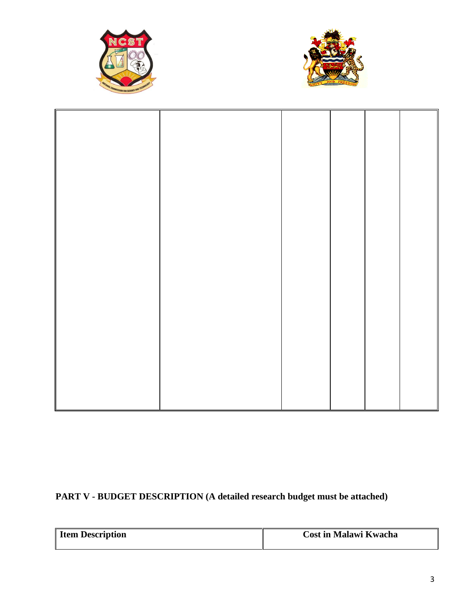



# **PART V - BUDGET DESCRIPTION (A detailed research budget must be attached)**

| <b>Item Description</b> | <b>Cost in Malawi Kwacha</b> |  |  |
|-------------------------|------------------------------|--|--|
|                         |                              |  |  |